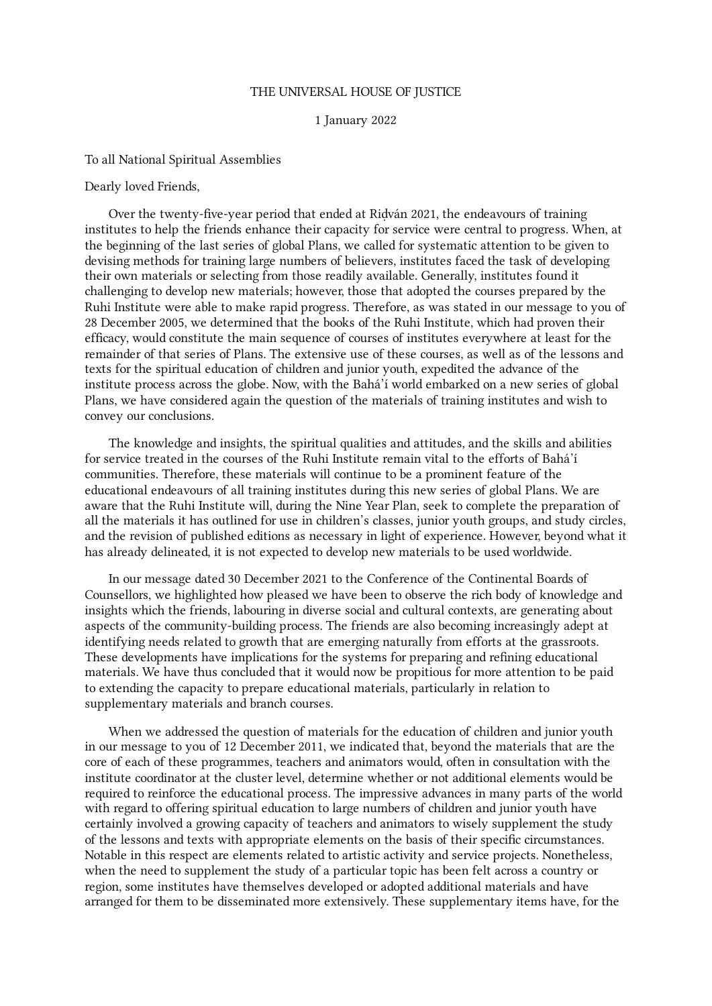## THE UNIVERSAL HOUSE OF JUSTICE

## 1 January 2022

## To all National Spiritual Assemblies

## Dearly loved Friends,

Over the twenty-five-year period that ended at Riḍván 2021, the endeavours of training institutes to help the friends enhance their capacity for service were central to progress. When, at the beginning of the last series of global Plans, we called for systematic attention to be given to devising methods for training large numbers of believers, institutes faced the task of developing their own materials or selecting from those readily available. Generally, institutes found it challenging to develop new materials; however, those that adopted the courses prepared by the Ruhi Institute were able to make rapid progress. Therefore, as was stated in our message to you of 28 December 2005, we determined that the books of the Ruhi Institute, which had proven their efficacy, would constitute the main sequence of courses of institutes everywhere at least for the remainder of that series of Plans. The extensive use of these courses, as well as of the lessons and texts for the spiritual education of children and junior youth, expedited the advance of the institute process across the globe. Now, with the Bahá'í world embarked on a new series of global Plans, we have considered again the question of the materials of training institutes and wish to convey our conclusions.

The knowledge and insights, the spiritual qualities and attitudes, and the skills and abilities for service treated in the courses of the Ruhi Institute remain vital to the efforts of Bahá'í communities. Therefore, these materials will continue to be a prominent feature of the educational endeavours of all training institutes during this new series of global Plans. We are aware that the Ruhi Institute will, during the Nine Year Plan, seek to complete the preparation of all the materials it has outlined for use in children's classes, junior youth groups, and study circles, and the revision of published editions as necessary in light of experience. However, beyond what it has already delineated, it is not expected to develop new materials to be used worldwide.

In our message dated 30 December 2021 to the Conference of the Continental Boards of Counsellors, we highlighted how pleased we have been to observe the rich body of knowledge and insights which the friends, labouring in diverse social and cultural contexts, are generating about aspects of the community-building process. The friends are also becoming increasingly adept at identifying needs related to growth that are emerging naturally from efforts at the grassroots. These developments have implications for the systems for preparing and refining educational materials. We have thus concluded that it would now be propitious for more attention to be paid to extending the capacity to prepare educational materials, particularly in relation to supplementary materials and branch courses.

When we addressed the question of materials for the education of children and junior youth in our message to you of 12 December 2011, we indicated that, beyond the materials that are the core of each of these programmes, teachers and animators would, often in consultation with the institute coordinator at the cluster level, determine whether or not additional elements would be required to reinforce the educational process. The impressive advances in many parts of the world with regard to offering spiritual education to large numbers of children and junior youth have certainly involved a growing capacity of teachers and animators to wisely supplement the study of the lessons and texts with appropriate elements on the basis of their specific circumstances. Notable in this respect are elements related to artistic activity and service projects. Nonetheless, when the need to supplement the study of a particular topic has been felt across a country or region, some institutes have themselves developed or adopted additional materials and have arranged for them to be disseminated more extensively. These supplementary items have, for the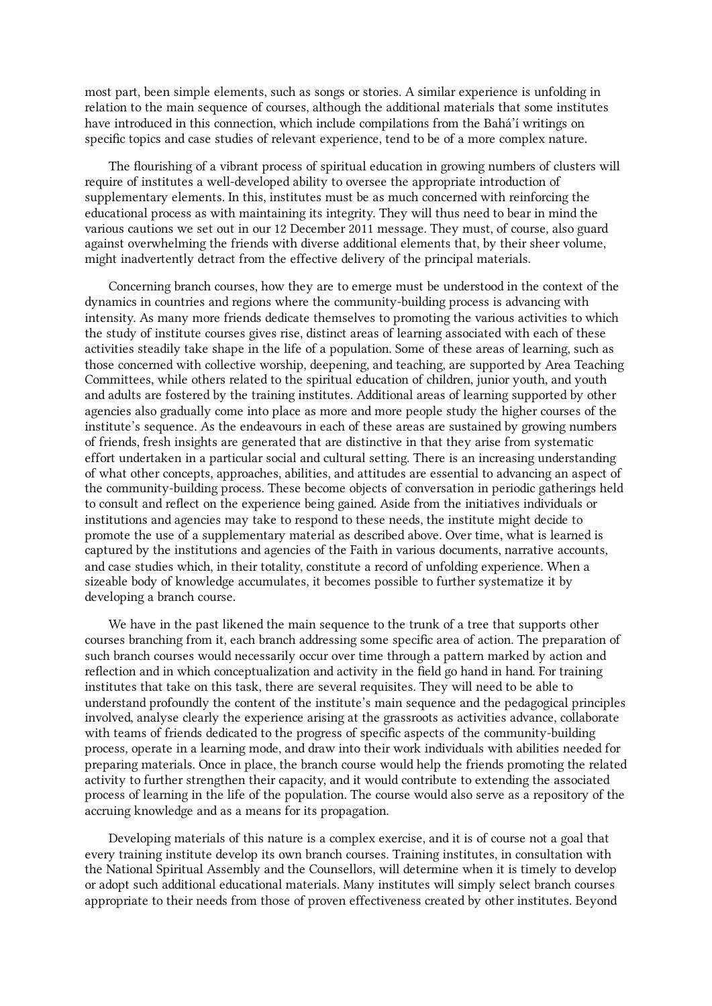most part, been simple elements, such as songs or stories. A similar experience is unfolding in relation to the main sequence of courses, although the additional materials that some institutes have introduced in this connection, which include compilations from the Bahá'í writings on specific topics and case studies of relevant experience, tend to be of a more complex nature.

The flourishing of a vibrant process of spiritual education in growing numbers of clusters will require of institutes a well-developed ability to oversee the appropriate introduction of supplementary elements. In this, institutes must be as much concerned with reinforcing the educational process as with maintaining its integrity. They will thus need to bear in mind the various cautions we set out in our 12 December 2011 message. They must, of course, also guard against overwhelming the friends with diverse additional elements that, by their sheer volume, might inadvertently detract from the effective delivery of the principal materials.

Concerning branch courses, how they are to emerge must be understood in the context of the dynamics in countries and regions where the community-building process is advancing with intensity. As many more friends dedicate themselves to promoting the various activities to which the study of institute courses gives rise, distinct areas of learning associated with each of these activities steadily take shape in the life of a population. Some of these areas of learning, such as those concerned with collective worship, deepening, and teaching, are supported by Area Teaching Committees, while others related to the spiritual education of children, junior youth, and youth and adults are fostered by the training institutes. Additional areas of learning supported by other agencies also gradually come into place as more and more people study the higher courses of the institute's sequence. As the endeavours in each of these areas are sustained by growing numbers of friends, fresh insights are generated that are distinctive in that they arise from systematic effort undertaken in a particular social and cultural setting. There is an increasing understanding of what other concepts, approaches, abilities, and attitudes are essential to advancing an aspect of the community-building process. These become objects of conversation in periodic gatherings held to consult and reflect on the experience being gained. Aside from the initiatives individuals or institutions and agencies may take to respond to these needs, the institute might decide to promote the use of a supplementary material as described above. Over time, what is learned is captured by the institutions and agencies of the Faith in various documents, narrative accounts, and case studies which, in their totality, constitute a record of unfolding experience. When a sizeable body of knowledge accumulates, it becomes possible to further systematize it by developing a branch course.

We have in the past likened the main sequence to the trunk of a tree that supports other courses branching from it, each branch addressing some specific area of action. The preparation of such branch courses would necessarily occur over time through a pattern marked by action and reflection and in which conceptualization and activity in the field go hand in hand. For training institutes that take on this task, there are several requisites. They will need to be able to understand profoundly the content of the institute's main sequence and the pedagogical principles involved, analyse clearly the experience arising at the grassroots as activities advance, collaborate with teams of friends dedicated to the progress of specific aspects of the community-building process, operate in a learning mode, and draw into their work individuals with abilities needed for preparing materials. Once in place, the branch course would help the friends promoting the related activity to further strengthen their capacity, and it would contribute to extending the associated process of learning in the life of the population. The course would also serve as a repository of the accruing knowledge and as a means for its propagation.

Developing materials of this nature is a complex exercise, and it is of course not a goal that every training institute develop its own branch courses. Training institutes, in consultation with the National Spiritual Assembly and the Counsellors, will determine when it is timely to develop or adopt such additional educational materials. Many institutes will simply select branch courses appropriate to their needs from those of proven effectiveness created by other institutes. Beyond